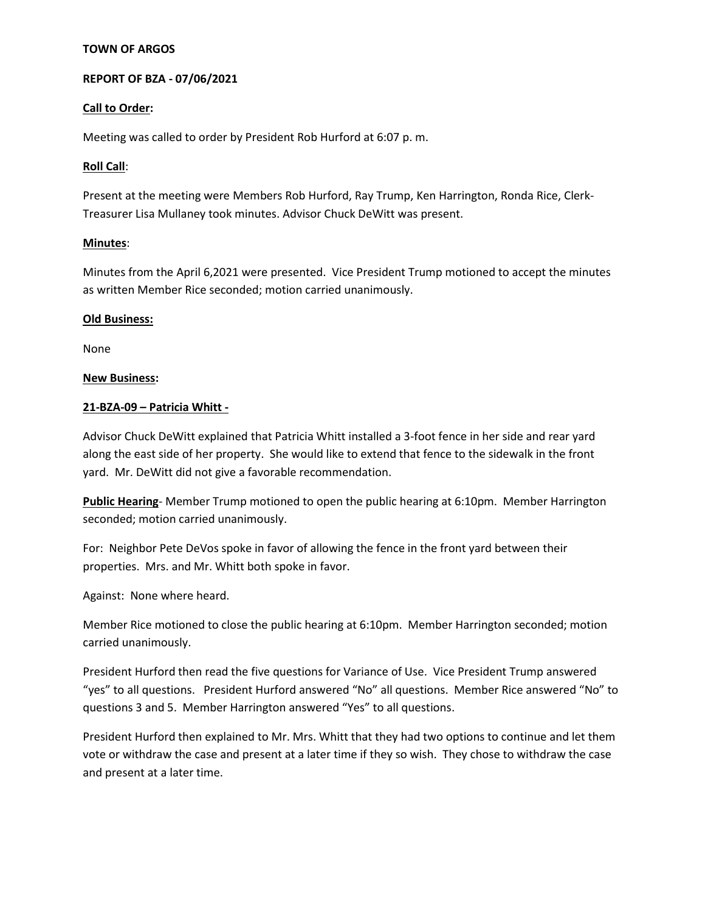## **TOWN OF ARGOS**

## **REPORT OF BZA - 07/06/2021**

#### **Call to Order:**

Meeting was called to order by President Rob Hurford at 6:07 p. m.

#### **Roll Call**:

Present at the meeting were Members Rob Hurford, Ray Trump, Ken Harrington, Ronda Rice, Clerk-Treasurer Lisa Mullaney took minutes. Advisor Chuck DeWitt was present.

#### **Minutes**:

Minutes from the April 6,2021 were presented. Vice President Trump motioned to accept the minutes as written Member Rice seconded; motion carried unanimously.

#### **Old Business:**

None

#### **New Business:**

#### **21-BZA-09 – Patricia Whitt -**

Advisor Chuck DeWitt explained that Patricia Whitt installed a 3-foot fence in her side and rear yard along the east side of her property. She would like to extend that fence to the sidewalk in the front yard. Mr. DeWitt did not give a favorable recommendation.

**Public Hearing**- Member Trump motioned to open the public hearing at 6:10pm. Member Harrington seconded; motion carried unanimously.

For: Neighbor Pete DeVos spoke in favor of allowing the fence in the front yard between their properties. Mrs. and Mr. Whitt both spoke in favor.

Against: None where heard.

Member Rice motioned to close the public hearing at 6:10pm. Member Harrington seconded; motion carried unanimously.

President Hurford then read the five questions for Variance of Use. Vice President Trump answered "yes" to all questions. President Hurford answered "No" all questions. Member Rice answered "No" to questions 3 and 5. Member Harrington answered "Yes" to all questions.

President Hurford then explained to Mr. Mrs. Whitt that they had two options to continue and let them vote or withdraw the case and present at a later time if they so wish. They chose to withdraw the case and present at a later time.